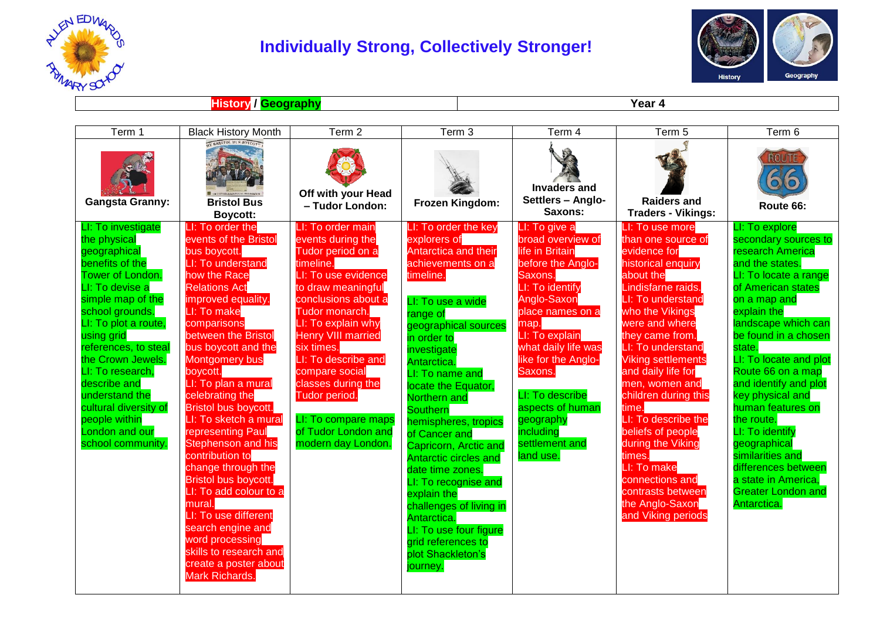

## **Individually Strong, Collectively Stronger!**



**History / Geography Year 4**

| Term 1                                                                                                                                                                                                                                                                                                                                                                         | <b>Black History Month</b>                                                                                                                                                                                                                                                                                                                                                                                                                                                                                                                                                                                                                                  | Term 2                                                                                                                                                                                                                                                                                                                                                                              | Term 3                                                                                                                                                                                                                                                                                                                                                                                                                                                                                                                                                                           | Term 4                                                                                                                                                                                                                                                                                                                         | Term 5                                                                                                                                                                                                                                                                                                                                                                                                                                                                                            | Term 6                                                                                                                                                                                                                                                                                                                                                                                                                                                                                               |
|--------------------------------------------------------------------------------------------------------------------------------------------------------------------------------------------------------------------------------------------------------------------------------------------------------------------------------------------------------------------------------|-------------------------------------------------------------------------------------------------------------------------------------------------------------------------------------------------------------------------------------------------------------------------------------------------------------------------------------------------------------------------------------------------------------------------------------------------------------------------------------------------------------------------------------------------------------------------------------------------------------------------------------------------------------|-------------------------------------------------------------------------------------------------------------------------------------------------------------------------------------------------------------------------------------------------------------------------------------------------------------------------------------------------------------------------------------|----------------------------------------------------------------------------------------------------------------------------------------------------------------------------------------------------------------------------------------------------------------------------------------------------------------------------------------------------------------------------------------------------------------------------------------------------------------------------------------------------------------------------------------------------------------------------------|--------------------------------------------------------------------------------------------------------------------------------------------------------------------------------------------------------------------------------------------------------------------------------------------------------------------------------|---------------------------------------------------------------------------------------------------------------------------------------------------------------------------------------------------------------------------------------------------------------------------------------------------------------------------------------------------------------------------------------------------------------------------------------------------------------------------------------------------|------------------------------------------------------------------------------------------------------------------------------------------------------------------------------------------------------------------------------------------------------------------------------------------------------------------------------------------------------------------------------------------------------------------------------------------------------------------------------------------------------|
| <b>Gangsta Granny:</b>                                                                                                                                                                                                                                                                                                                                                         | <b>BRISTOL BUS BOYC</b><br><b>Bristol Bus</b><br>Boycott:                                                                                                                                                                                                                                                                                                                                                                                                                                                                                                                                                                                                   | Off with your Head<br>- Tudor London:                                                                                                                                                                                                                                                                                                                                               | Frozen Kingdom:                                                                                                                                                                                                                                                                                                                                                                                                                                                                                                                                                                  | <b>Invaders and</b><br>Settlers - Anglo-<br>Saxons:                                                                                                                                                                                                                                                                            | <b>Raiders and</b><br><b>Traders - Vikings:</b>                                                                                                                                                                                                                                                                                                                                                                                                                                                   | <b>ROUTE</b><br>Route 66:                                                                                                                                                                                                                                                                                                                                                                                                                                                                            |
| LI: To investigate<br>the physical<br>geographical<br>benefits of the<br>Tower of London.<br>LI: To devise a<br>simple map of the<br>school grounds.<br>LI: To plot a route,<br>using grid<br>references, to steal<br>the Crown Jewels.<br>LI: To research,<br>describe and<br>understand the<br>cultural diversity of<br>people within<br>London and our<br>school community. | LI: To order the<br>events of the Bristol<br>bus boycott.<br>LI: To understand<br>how the Race<br><b>Relations Act</b><br>improved equality.<br>LI: To make<br>comparisons<br>between the Bristol<br>bus boycott and the<br><b>Montgomery bus</b><br>boycott.<br>LI: To plan a mural<br>celebrating the<br><b>Bristol bus boycott.</b><br>LI: To sketch a mural<br>representing Paul<br><b>Stephenson and his</b><br>contribution to<br>change through the<br>Bristol bus boycott.<br>LI: To add colour to a<br>mural.<br>LI: To use different<br>search engine and<br>word processing<br>skills to research and<br>create a poster about<br>Mark Richards. | LI: To order main<br>events during the<br>Tudor period on a<br>timeline.<br>LI: To use evidence<br>to draw meaningful<br>conclusions about a<br>Tudor monarch.<br>LI: To explain why<br><b>Henry VIII married</b><br>six times.<br>LI: To describe and<br>compare social<br>classes during the<br>Tudor period.<br>LI: To compare maps<br>of Tudor London and<br>modern day London. | LI: To order the key<br>explorers of<br><b>Antarctica and their</b><br>achievements on a<br>timeline.<br>LI: To use a wide<br>range of<br>geographical sources<br>in order to<br>investigate<br>Antarctica.<br>LI: To name and<br>locate the Equator,<br>Northern and<br><b>Southern</b><br>hemispheres, tropics<br>of Cancer and<br>Capricorn, Arctic and<br><b>Antarctic circles and</b><br>date time zones.<br>LI: To recognise and<br>explain the<br>challenges of living in<br>Antarctica.<br>LI: To use four figure<br>grid references to<br>plot Shackleton's<br>journey. | LI: To give a<br>broad overview of<br>life in Britain<br>before the Anglo-<br>Saxons.<br>LI: To identify<br>Anglo-Saxon<br>place names on a<br>map.<br>LI: To explain<br>what daily life was<br>like for the Anglo-<br>Saxons.<br>LI: To describe<br>aspects of human<br>geography<br>including<br>settlement and<br>land use. | LI: To use more<br>than one source of<br>evidence for<br>historical enquiry<br>about the<br>Lindisfarne raids.<br>LI: To understand<br>who the Vikings<br>were and where<br>they came from.<br>LI: To understand<br><b>Viking settlements</b><br>and daily life for<br>men, women and<br>children during this<br>time.<br>LI: To describe the<br>beliefs of people<br>during the Viking<br>times.<br>LI: To make<br>connections and<br>contrasts between<br>the Anglo-Saxon<br>and Viking periods | LI: To explore<br>secondary sources to<br>research America<br>and the states.<br>LI: To locate a range<br>of American states<br>on a map and<br>explain the<br>landscape which can<br>be found in a chosen<br>state.<br>LI: To locate and plot<br>Route 66 on a map<br>and identify and plot<br>key physical and<br>human features on<br>the route.<br>LI: To identify<br>geographical<br>similarities and<br>differences between<br>a state in America,<br><b>Greater London and</b><br>Antarctica. |